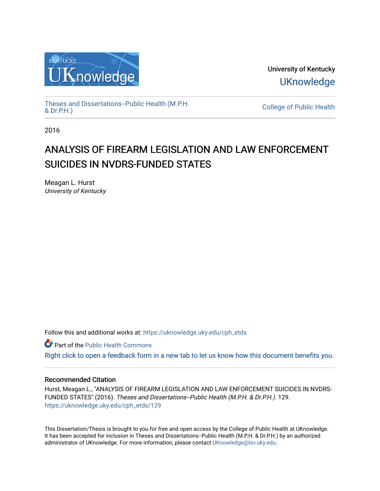

University of Kentucky **UKnowledge** 

[Theses and Dissertations--Public Health \(M.P.H.](https://uknowledge.uky.edu/cph_etds) & Dr.P.H.)

College of Public Health

2016

# ANALYSIS OF FIREARM LEGISLATION AND LAW ENFORCEMENT SUICIDES IN NVDRS-FUNDED STATES

Meagan L. Hurst University of Kentucky

Follow this and additional works at: [https://uknowledge.uky.edu/cph\\_etds](https://uknowledge.uky.edu/cph_etds?utm_source=uknowledge.uky.edu%2Fcph_etds%2F129&utm_medium=PDF&utm_campaign=PDFCoverPages) 

Part of the [Public Health Commons](http://network.bepress.com/hgg/discipline/738?utm_source=uknowledge.uky.edu%2Fcph_etds%2F129&utm_medium=PDF&utm_campaign=PDFCoverPages) 

[Right click to open a feedback form in a new tab to let us know how this document benefits you.](https://uky.az1.qualtrics.com/jfe/form/SV_9mq8fx2GnONRfz7)

#### Recommended Citation

Hurst, Meagan L., "ANALYSIS OF FIREARM LEGISLATION AND LAW ENFORCEMENT SUICIDES IN NVDRS-FUNDED STATES" (2016). Theses and Dissertations--Public Health (M.P.H. & Dr.P.H.). 129. [https://uknowledge.uky.edu/cph\\_etds/129](https://uknowledge.uky.edu/cph_etds/129?utm_source=uknowledge.uky.edu%2Fcph_etds%2F129&utm_medium=PDF&utm_campaign=PDFCoverPages) 

This Dissertation/Thesis is brought to you for free and open access by the College of Public Health at UKnowledge. It has been accepted for inclusion in Theses and Dissertations--Public Health (M.P.H. & Dr.P.H.) by an authorized administrator of UKnowledge. For more information, please contact [UKnowledge@lsv.uky.edu](mailto:UKnowledge@lsv.uky.edu).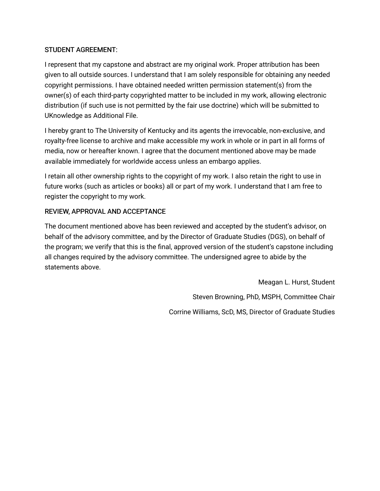## STUDENT AGREEMENT:

I represent that my capstone and abstract are my original work. Proper attribution has been given to all outside sources. I understand that I am solely responsible for obtaining any needed copyright permissions. I have obtained needed written permission statement(s) from the owner(s) of each third-party copyrighted matter to be included in my work, allowing electronic distribution (if such use is not permitted by the fair use doctrine) which will be submitted to UKnowledge as Additional File.

I hereby grant to The University of Kentucky and its agents the irrevocable, non-exclusive, and royalty-free license to archive and make accessible my work in whole or in part in all forms of media, now or hereafter known. I agree that the document mentioned above may be made available immediately for worldwide access unless an embargo applies.

I retain all other ownership rights to the copyright of my work. I also retain the right to use in future works (such as articles or books) all or part of my work. I understand that I am free to register the copyright to my work.

## REVIEW, APPROVAL AND ACCEPTANCE

The document mentioned above has been reviewed and accepted by the student's advisor, on behalf of the advisory committee, and by the Director of Graduate Studies (DGS), on behalf of the program; we verify that this is the final, approved version of the student's capstone including all changes required by the advisory committee. The undersigned agree to abide by the statements above.

> Meagan L. Hurst, Student Steven Browning, PhD, MSPH, Committee Chair Corrine Williams, ScD, MS, Director of Graduate Studies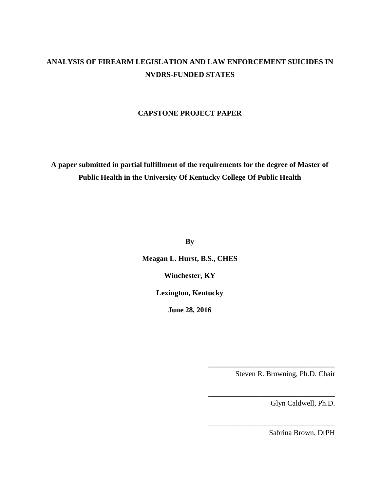## **ANALYSIS OF FIREARM LEGISLATION AND LAW ENFORCEMENT SUICIDES IN NVDRS-FUNDED STATES**

## **CAPSTONE PROJECT PAPER**

**A paper submitted in partial fulfillment of the requirements for the degree of Master of Public Health in the University Of Kentucky College Of Public Health**

**By**

**Meagan L. Hurst, B.S., CHES**

**Winchester, KY**

**Lexington, Kentucky**

**June 28, 2016**

Steven R. Browning, Ph.D. Chair

**\_\_\_\_\_\_\_\_\_\_\_\_\_\_\_\_\_\_\_\_\_\_\_\_\_\_\_\_\_\_\_\_\_\_**

\_\_\_\_\_\_\_\_\_\_\_\_\_\_\_\_\_\_\_\_\_\_\_\_\_\_\_\_\_\_\_\_\_\_

\_\_\_\_\_\_\_\_\_\_\_\_\_\_\_\_\_\_\_\_\_\_\_\_\_\_\_\_\_\_\_\_\_\_

Glyn Caldwell, Ph.D.

Sabrina Brown, DrPH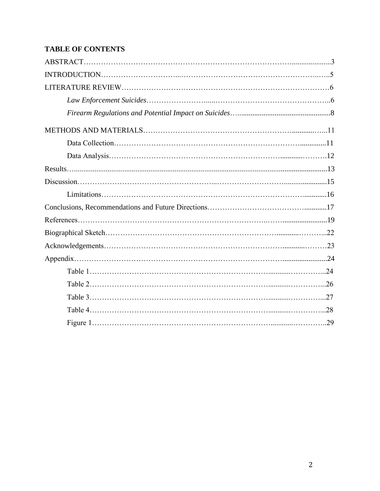## **TABLE OF CONTENTS**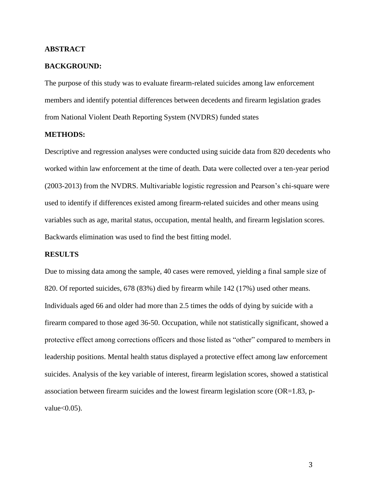#### **ABSTRACT**

#### **BACKGROUND:**

The purpose of this study was to evaluate firearm-related suicides among law enforcement members and identify potential differences between decedents and firearm legislation grades from National Violent Death Reporting System (NVDRS) funded states

#### **METHODS:**

Descriptive and regression analyses were conducted using suicide data from 820 decedents who worked within law enforcement at the time of death. Data were collected over a ten-year period (2003-2013) from the NVDRS. Multivariable logistic regression and Pearson's chi-square were used to identify if differences existed among firearm-related suicides and other means using variables such as age, marital status, occupation, mental health, and firearm legislation scores. Backwards elimination was used to find the best fitting model.

#### **RESULTS**

Due to missing data among the sample, 40 cases were removed, yielding a final sample size of 820. Of reported suicides, 678 (83%) died by firearm while 142 (17%) used other means. Individuals aged 66 and older had more than 2.5 times the odds of dying by suicide with a firearm compared to those aged 36-50. Occupation, while not statistically significant, showed a protective effect among corrections officers and those listed as "other" compared to members in leadership positions. Mental health status displayed a protective effect among law enforcement suicides. Analysis of the key variable of interest, firearm legislation scores, showed a statistical association between firearm suicides and the lowest firearm legislation score (OR=1.83, pvalue $<0.05$ ).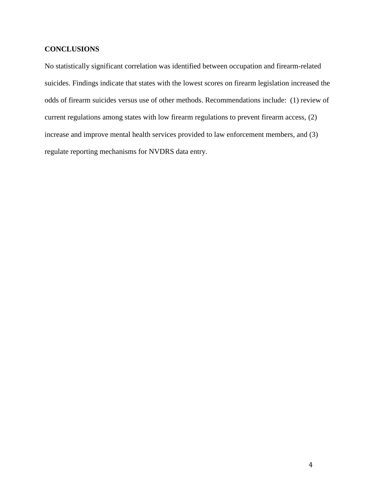## **CONCLUSIONS**

No statistically significant correlation was identified between occupation and firearm-related suicides. Findings indicate that states with the lowest scores on firearm legislation increased the odds of firearm suicides versus use of other methods. Recommendations include: (1) review of current regulations among states with low firearm regulations to prevent firearm access, (2) increase and improve mental health services provided to law enforcement members, and (3) regulate reporting mechanisms for NVDRS data entry.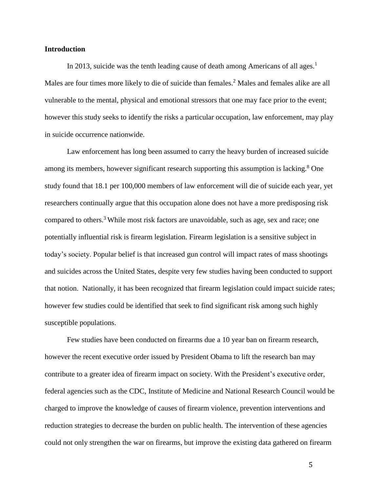#### **Introduction**

In 2013, suicide was the tenth leading cause of death among Americans of all ages.<sup>1</sup> Males are four times more likely to die of suicide than females.<sup>2</sup> Males and females alike are all vulnerable to the mental, physical and emotional stressors that one may face prior to the event; however this study seeks to identify the risks a particular occupation, law enforcement, may play in suicide occurrence nationwide.

Law enforcement has long been assumed to carry the heavy burden of increased suicide among its members, however significant research supporting this assumption is lacking. $8$  One study found that 18.1 per 100,000 members of law enforcement will die of suicide each year, yet researchers continually argue that this occupation alone does not have a more predisposing risk compared to others. <sup>3</sup> While most risk factors are unavoidable, such as age, sex and race; one potentially influential risk is firearm legislation. Firearm legislation is a sensitive subject in today's society. Popular belief is that increased gun control will impact rates of mass shootings and suicides across the United States, despite very few studies having been conducted to support that notion. Nationally, it has been recognized that firearm legislation could impact suicide rates; however few studies could be identified that seek to find significant risk among such highly susceptible populations.

Few studies have been conducted on firearms due a 10 year ban on firearm research, however the recent executive order issued by President Obama to lift the research ban may contribute to a greater idea of firearm impact on society. With the President's executive order, federal agencies such as the CDC, Institute of Medicine and National Research Council would be charged to improve the knowledge of causes of firearm violence, prevention interventions and reduction strategies to decrease the burden on public health. The intervention of these agencies could not only strengthen the war on firearms, but improve the existing data gathered on firearm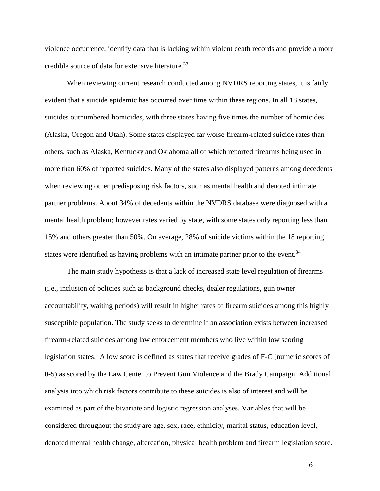violence occurrence, identify data that is lacking within violent death records and provide a more credible source of data for extensive literature.<sup>33</sup>

When reviewing current research conducted among NVDRS reporting states, it is fairly evident that a suicide epidemic has occurred over time within these regions. In all 18 states, suicides outnumbered homicides, with three states having five times the number of homicides (Alaska, Oregon and Utah). Some states displayed far worse firearm-related suicide rates than others, such as Alaska, Kentucky and Oklahoma all of which reported firearms being used in more than 60% of reported suicides. Many of the states also displayed patterns among decedents when reviewing other predisposing risk factors, such as mental health and denoted intimate partner problems. About 34% of decedents within the NVDRS database were diagnosed with a mental health problem; however rates varied by state, with some states only reporting less than 15% and others greater than 50%. On average, 28% of suicide victims within the 18 reporting states were identified as having problems with an intimate partner prior to the event. $34$ 

The main study hypothesis is that a lack of increased state level regulation of firearms (i.e., inclusion of policies such as background checks, dealer regulations, gun owner accountability, waiting periods) will result in higher rates of firearm suicides among this highly susceptible population. The study seeks to determine if an association exists between increased firearm-related suicides among law enforcement members who live within low scoring legislation states. A low score is defined as states that receive grades of F-C (numeric scores of 0-5) as scored by the Law Center to Prevent Gun Violence and the Brady Campaign. Additional analysis into which risk factors contribute to these suicides is also of interest and will be examined as part of the bivariate and logistic regression analyses. Variables that will be considered throughout the study are age, sex, race, ethnicity, marital status, education level, denoted mental health change, altercation, physical health problem and firearm legislation score.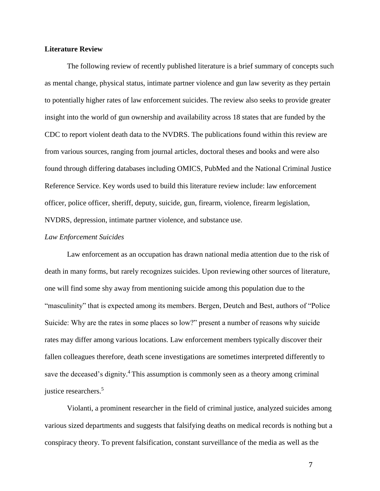#### **Literature Review**

The following review of recently published literature is a brief summary of concepts such as mental change, physical status, intimate partner violence and gun law severity as they pertain to potentially higher rates of law enforcement suicides. The review also seeks to provide greater insight into the world of gun ownership and availability across 18 states that are funded by the CDC to report violent death data to the NVDRS. The publications found within this review are from various sources, ranging from journal articles, doctoral theses and books and were also found through differing databases including OMICS, PubMed and the National Criminal Justice Reference Service. Key words used to build this literature review include: law enforcement officer, police officer, sheriff, deputy, suicide, gun, firearm, violence, firearm legislation, NVDRS, depression, intimate partner violence, and substance use.

#### *Law Enforcement Suicides*

Law enforcement as an occupation has drawn national media attention due to the risk of death in many forms, but rarely recognizes suicides. Upon reviewing other sources of literature, one will find some shy away from mentioning suicide among this population due to the "masculinity" that is expected among its members. Bergen, Deutch and Best, authors of "Police Suicide: Why are the rates in some places so low?" present a number of reasons why suicide rates may differ among various locations. Law enforcement members typically discover their fallen colleagues therefore, death scene investigations are sometimes interpreted differently to save the deceased's dignity.<sup>4</sup> This assumption is commonly seen as a theory among criminal justice researchers. 5

Violanti, a prominent researcher in the field of criminal justice, analyzed suicides among various sized departments and suggests that falsifying deaths on medical records is nothing but a conspiracy theory. To prevent falsification, constant surveillance of the media as well as the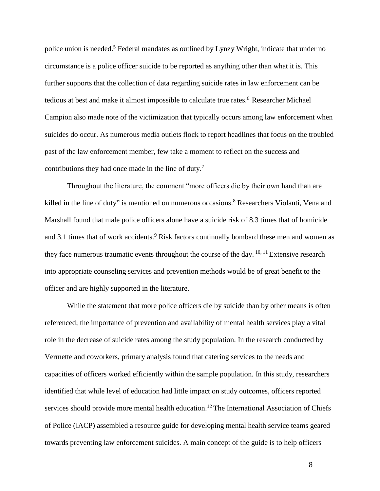police union is needed.<sup>5</sup> Federal mandates as outlined by Lynzy Wright, indicate that under no circumstance is a police officer suicide to be reported as anything other than what it is. This further supports that the collection of data regarding suicide rates in law enforcement can be tedious at best and make it almost impossible to calculate true rates.<sup>6</sup> Researcher Michael Campion also made note of the victimization that typically occurs among law enforcement when suicides do occur. As numerous media outlets flock to report headlines that focus on the troubled past of the law enforcement member, few take a moment to reflect on the success and contributions they had once made in the line of duty.<sup>7</sup>

Throughout the literature, the comment "more officers die by their own hand than are killed in the line of duty" is mentioned on numerous occasions.<sup>8</sup> Researchers Violanti, Vena and Marshall found that male police officers alone have a suicide risk of 8.3 times that of homicide and 3.1 times that of work accidents.<sup>9</sup> Risk factors continually bombard these men and women as they face numerous traumatic events throughout the course of the day.  $10, 11$  Extensive research into appropriate counseling services and prevention methods would be of great benefit to the officer and are highly supported in the literature.

While the statement that more police officers die by suicide than by other means is often referenced; the importance of prevention and availability of mental health services play a vital role in the decrease of suicide rates among the study population. In the research conducted by Vermette and coworkers, primary analysis found that catering services to the needs and capacities of officers worked efficiently within the sample population. In this study, researchers identified that while level of education had little impact on study outcomes, officers reported services should provide more mental health education.<sup>12</sup> The International Association of Chiefs of Police (IACP) assembled a resource guide for developing mental health service teams geared towards preventing law enforcement suicides. A main concept of the guide is to help officers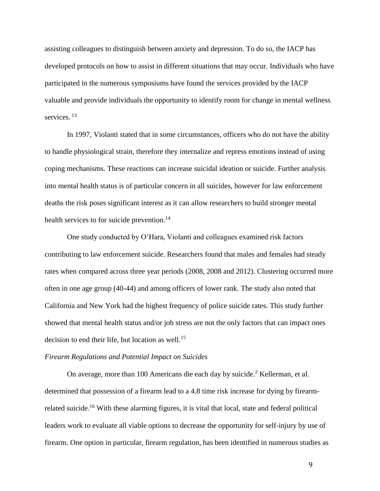assisting colleagues to distinguish between anxiety and depression. To do so, the IACP has developed protocols on how to assist in different situations that may occur. Individuals who have participated in the numerous symposiums have found the services provided by the IACP valuable and provide individuals the opportunity to identify room for change in mental wellness services.<sup>13</sup>

In 1997, Violanti stated that in some circumstances, officers who do not have the ability to handle physiological strain, therefore they internalize and repress emotions instead of using coping mechanisms. These reactions can increase suicidal ideation or suicide. Further analysis into mental health status is of particular concern in all suicides, however for law enforcement deaths the risk poses significant interest as it can allow researchers to build stronger mental health services to for suicide prevention.<sup>14</sup>

One study conducted by O'Hara, Violanti and colleagues examined risk factors contributing to law enforcement suicide. Researchers found that males and females had steady rates when compared across three year periods (2008, 2008 and 2012). Clustering occurred more often in one age group (40-44) and among officers of lower rank. The study also noted that California and New York had the highest frequency of police suicide rates. This study further showed that mental health status and/or job stress are not the only factors that can impact ones decision to end their life, but location as well.<sup>15</sup>

#### *Firearm Regulations and Potential Impact on Suicides*

On average, more than 100 Americans die each day by suicide.<sup>2</sup> Kellerman, et al. determined that possession of a firearm lead to a 4.8 time risk increase for dying by firearmrelated suicide.<sup>16</sup> With these alarming figures, it is vital that local, state and federal political leaders work to evaluate all viable options to decrease the opportunity for self-injury by use of firearm. One option in particular, firearm regulation, has been identified in numerous studies as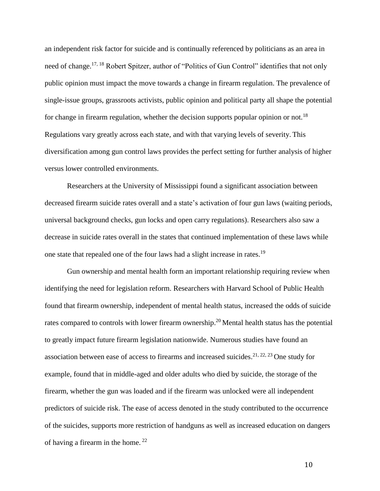an independent risk factor for suicide and is continually referenced by politicians as an area in need of change.<sup>17, 18</sup> Robert Spitzer, author of "Politics of Gun Control" identifies that not only public opinion must impact the move towards a change in firearm regulation. The prevalence of single-issue groups, grassroots activists, public opinion and political party all shape the potential for change in firearm regulation, whether the decision supports popular opinion or not.<sup>18</sup> Regulations vary greatly across each state, and with that varying levels of severity. This diversification among gun control laws provides the perfect setting for further analysis of higher versus lower controlled environments.

Researchers at the University of Mississippi found a significant association between decreased firearm suicide rates overall and a state's activation of four gun laws (waiting periods, universal background checks, gun locks and open carry regulations). Researchers also saw a decrease in suicide rates overall in the states that continued implementation of these laws while one state that repealed one of the four laws had a slight increase in rates.<sup>19</sup>

Gun ownership and mental health form an important relationship requiring review when identifying the need for legislation reform. Researchers with Harvard School of Public Health found that firearm ownership, independent of mental health status, increased the odds of suicide rates compared to controls with lower firearm ownership.<sup>20</sup> Mental health status has the potential to greatly impact future firearm legislation nationwide. Numerous studies have found an association between ease of access to firearms and increased suicides.<sup>21, 22, 23</sup> One study for example, found that in middle-aged and older adults who died by suicide, the storage of the firearm, whether the gun was loaded and if the firearm was unlocked were all independent predictors of suicide risk. The ease of access denoted in the study contributed to the occurrence of the suicides, supports more restriction of handguns as well as increased education on dangers of having a firearm in the home. <sup>22</sup>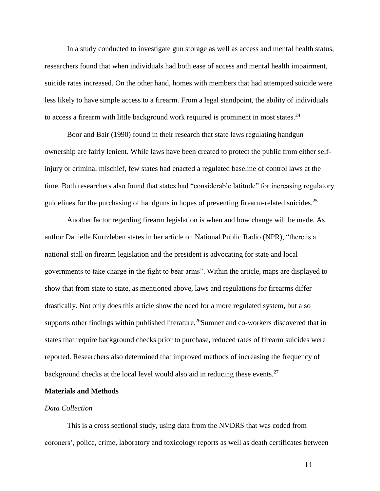In a study conducted to investigate gun storage as well as access and mental health status, researchers found that when individuals had both ease of access and mental health impairment, suicide rates increased. On the other hand, homes with members that had attempted suicide were less likely to have simple access to a firearm. From a legal standpoint, the ability of individuals to access a firearm with little background work required is prominent in most states. $24$ 

Boor and Bair (1990) found in their research that state laws regulating handgun ownership are fairly lenient. While laws have been created to protect the public from either selfinjury or criminal mischief, few states had enacted a regulated baseline of control laws at the time. Both researchers also found that states had "considerable latitude" for increasing regulatory guidelines for the purchasing of handguns in hopes of preventing firearm-related suicides.<sup>25</sup>

Another factor regarding firearm legislation is when and how change will be made. As author Danielle Kurtzleben states in her article on National Public Radio (NPR), "there is a national stall on firearm legislation and the president is advocating for state and local governments to take charge in the fight to bear arms". Within the article, maps are displayed to show that from state to state, as mentioned above, laws and regulations for firearms differ drastically. Not only does this article show the need for a more regulated system, but also supports other findings within published literature.<sup>26</sup>Sumner and co-workers discovered that in states that require background checks prior to purchase, reduced rates of firearm suicides were reported. Researchers also determined that improved methods of increasing the frequency of background checks at the local level would also aid in reducing these events.<sup>27</sup>

#### **Materials and Methods**

#### *Data Collection*

This is a cross sectional study, using data from the NVDRS that was coded from coroners', police, crime, laboratory and toxicology reports as well as death certificates between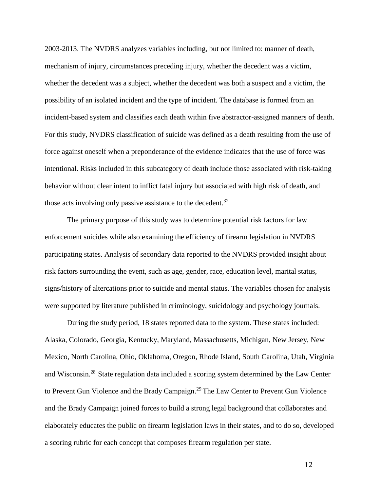2003-2013. The NVDRS analyzes variables including, but not limited to: manner of death, mechanism of injury, circumstances preceding injury, whether the decedent was a victim, whether the decedent was a subject, whether the decedent was both a suspect and a victim, the possibility of an isolated incident and the type of incident. The database is formed from an incident-based system and classifies each death within five abstractor-assigned manners of death. For this study, NVDRS classification of suicide was defined as a death resulting from the use of force against oneself when a preponderance of the evidence indicates that the use of force was intentional. Risks included in this subcategory of death include those associated with risk-taking behavior without clear intent to inflict fatal injury but associated with high risk of death, and those acts involving only passive assistance to the decedent.<sup>32</sup>

The primary purpose of this study was to determine potential risk factors for law enforcement suicides while also examining the efficiency of firearm legislation in NVDRS participating states. Analysis of secondary data reported to the NVDRS provided insight about risk factors surrounding the event, such as age, gender, race, education level, marital status, signs/history of altercations prior to suicide and mental status. The variables chosen for analysis were supported by literature published in criminology, suicidology and psychology journals.

During the study period, 18 states reported data to the system. These states included: Alaska, Colorado, Georgia, Kentucky, Maryland, Massachusetts, Michigan, New Jersey, New Mexico, North Carolina, Ohio, Oklahoma, Oregon, Rhode Island, South Carolina, Utah, Virginia and Wisconsin.<sup>28</sup> State regulation data included a scoring system determined by the Law Center to Prevent Gun Violence and the Brady Campaign.<sup>29</sup> The Law Center to Prevent Gun Violence and the Brady Campaign joined forces to build a strong legal background that collaborates and elaborately educates the public on firearm legislation laws in their states, and to do so, developed a scoring rubric for each concept that composes firearm regulation per state.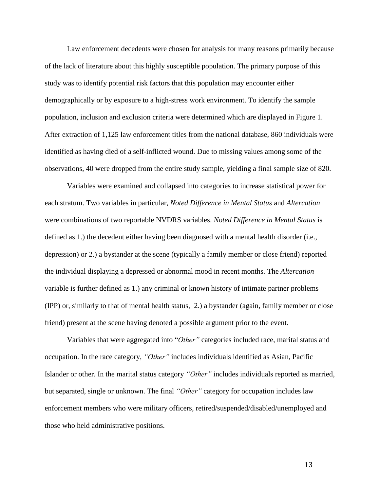Law enforcement decedents were chosen for analysis for many reasons primarily because of the lack of literature about this highly susceptible population. The primary purpose of this study was to identify potential risk factors that this population may encounter either demographically or by exposure to a high-stress work environment. To identify the sample population, inclusion and exclusion criteria were determined which are displayed in Figure 1. After extraction of 1,125 law enforcement titles from the national database, 860 individuals were identified as having died of a self-inflicted wound. Due to missing values among some of the observations, 40 were dropped from the entire study sample, yielding a final sample size of 820.

Variables were examined and collapsed into categories to increase statistical power for each stratum. Two variables in particular, *Noted Difference in Mental Status* and *Altercation*  were combinations of two reportable NVDRS variables. *Noted Difference in Mental Status* is defined as 1.) the decedent either having been diagnosed with a mental health disorder (i.e., depression) or 2.) a bystander at the scene (typically a family member or close friend) reported the individual displaying a depressed or abnormal mood in recent months. The *Altercation*  variable is further defined as 1.) any criminal or known history of intimate partner problems (IPP) or, similarly to that of mental health status, 2.) a bystander (again, family member or close friend) present at the scene having denoted a possible argument prior to the event.

Variables that were aggregated into "*Other"* categories included race, marital status and occupation. In the race category, *"Other"* includes individuals identified as Asian, Pacific Islander or other. In the marital status category *"Other"* includes individuals reported as married, but separated, single or unknown. The final *"Other"* category for occupation includes law enforcement members who were military officers, retired/suspended/disabled/unemployed and those who held administrative positions.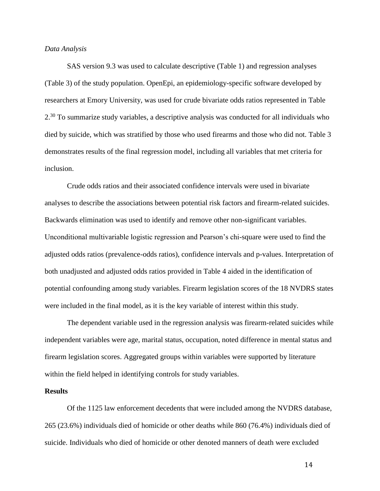#### *Data Analysis*

SAS version 9.3 was used to calculate descriptive (Table 1) and regression analyses (Table 3) of the study population. OpenEpi, an epidemiology-specific software developed by researchers at Emory University, was used for crude bivariate odds ratios represented in Table 2.<sup>30</sup> To summarize study variables, a descriptive analysis was conducted for all individuals who died by suicide, which was stratified by those who used firearms and those who did not. Table 3 demonstrates results of the final regression model, including all variables that met criteria for inclusion.

Crude odds ratios and their associated confidence intervals were used in bivariate analyses to describe the associations between potential risk factors and firearm-related suicides. Backwards elimination was used to identify and remove other non-significant variables. Unconditional multivariable logistic regression and Pearson's chi-square were used to find the adjusted odds ratios (prevalence-odds ratios), confidence intervals and p-values. Interpretation of both unadjusted and adjusted odds ratios provided in Table 4 aided in the identification of potential confounding among study variables. Firearm legislation scores of the 18 NVDRS states were included in the final model, as it is the key variable of interest within this study.

The dependent variable used in the regression analysis was firearm-related suicides while independent variables were age, marital status, occupation, noted difference in mental status and firearm legislation scores. Aggregated groups within variables were supported by literature within the field helped in identifying controls for study variables.

#### **Results**

Of the 1125 law enforcement decedents that were included among the NVDRS database, 265 (23.6%) individuals died of homicide or other deaths while 860 (76.4%) individuals died of suicide. Individuals who died of homicide or other denoted manners of death were excluded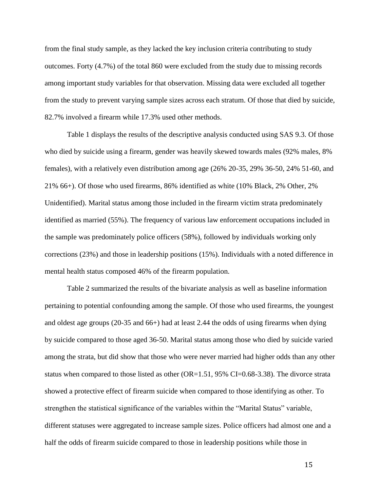from the final study sample, as they lacked the key inclusion criteria contributing to study outcomes. Forty (4.7%) of the total 860 were excluded from the study due to missing records among important study variables for that observation. Missing data were excluded all together from the study to prevent varying sample sizes across each stratum. Of those that died by suicide, 82.7% involved a firearm while 17.3% used other methods.

Table 1 displays the results of the descriptive analysis conducted using SAS 9.3. Of those who died by suicide using a firearm, gender was heavily skewed towards males (92% males, 8% females), with a relatively even distribution among age (26% 20-35, 29% 36-50, 24% 51-60, and 21% 66+). Of those who used firearms, 86% identified as white (10% Black, 2% Other, 2% Unidentified). Marital status among those included in the firearm victim strata predominately identified as married (55%). The frequency of various law enforcement occupations included in the sample was predominately police officers (58%), followed by individuals working only corrections (23%) and those in leadership positions (15%). Individuals with a noted difference in mental health status composed 46% of the firearm population.

Table 2 summarized the results of the bivariate analysis as well as baseline information pertaining to potential confounding among the sample. Of those who used firearms, the youngest and oldest age groups (20-35 and 66+) had at least 2.44 the odds of using firearms when dying by suicide compared to those aged 36-50. Marital status among those who died by suicide varied among the strata, but did show that those who were never married had higher odds than any other status when compared to those listed as other (OR=1.51, 95% CI=0.68-3.38). The divorce strata showed a protective effect of firearm suicide when compared to those identifying as other. To strengthen the statistical significance of the variables within the "Marital Status" variable, different statuses were aggregated to increase sample sizes. Police officers had almost one and a half the odds of firearm suicide compared to those in leadership positions while those in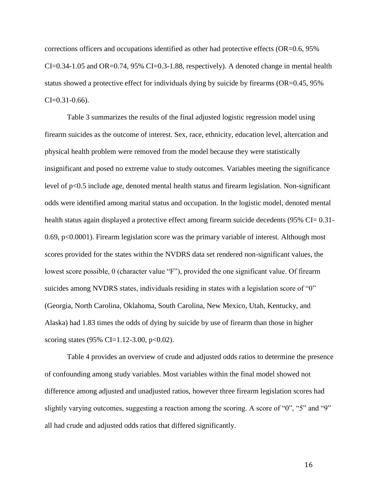corrections officers and occupations identified as other had protective effects (OR=0.6, 95% CI=0.34-1.05 and OR=0.74, 95% CI=0.3-1.88, respectively). A denoted change in mental health status showed a protective effect for individuals dying by suicide by firearms (OR=0.45, 95%  $CI = 0.31 - 0.66$ .

Table 3 summarizes the results of the final adjusted logistic regression model using firearm suicides as the outcome of interest. Sex, race, ethnicity, education level, altercation and physical health problem were removed from the model because they were statistically insignificant and posed no extreme value to study outcomes. Variables meeting the significance level of p<0.5 include age, denoted mental health status and firearm legislation. Non-significant odds were identified among marital status and occupation. In the logistic model, denoted mental health status again displayed a protective effect among firearm suicide decedents (95% CI= 0.31-0.69, p<0.0001). Firearm legislation score was the primary variable of interest. Although most scores provided for the states within the NVDRS data set rendered non-significant values, the lowest score possible, 0 (character value "F"), provided the one significant value. Of firearm suicides among NVDRS states, individuals residing in states with a legislation score of "0" (Georgia, North Carolina, Oklahoma, South Carolina, New Mexico, Utah, Kentucky, and Alaska) had 1.83 times the odds of dying by suicide by use of firearm than those in higher scoring states (95% CI=1.12-3.00, p<0.02).

Table 4 provides an overview of crude and adjusted odds ratios to determine the presence of confounding among study variables. Most variables within the final model showed not difference among adjusted and unadjusted ratios, however three firearm legislation scores had slightly varying outcomes, suggesting a reaction among the scoring. A score of "0", "5" and "9" all had crude and adjusted odds ratios that differed significantly.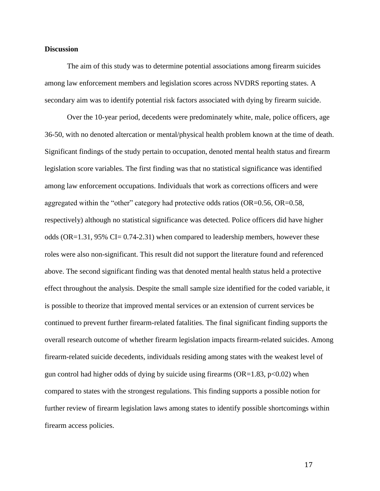#### **Discussion**

The aim of this study was to determine potential associations among firearm suicides among law enforcement members and legislation scores across NVDRS reporting states. A secondary aim was to identify potential risk factors associated with dying by firearm suicide.

Over the 10-year period, decedents were predominately white, male, police officers, age 36-50, with no denoted altercation or mental/physical health problem known at the time of death. Significant findings of the study pertain to occupation, denoted mental health status and firearm legislation score variables. The first finding was that no statistical significance was identified among law enforcement occupations. Individuals that work as corrections officers and were aggregated within the "other" category had protective odds ratios (OR=0.56, OR=0.58, respectively) although no statistical significance was detected. Police officers did have higher odds (OR=1.31, 95% CI= 0.74-2.31) when compared to leadership members, however these roles were also non-significant. This result did not support the literature found and referenced above. The second significant finding was that denoted mental health status held a protective effect throughout the analysis. Despite the small sample size identified for the coded variable, it is possible to theorize that improved mental services or an extension of current services be continued to prevent further firearm-related fatalities. The final significant finding supports the overall research outcome of whether firearm legislation impacts firearm-related suicides. Among firearm-related suicide decedents, individuals residing among states with the weakest level of gun control had higher odds of dying by suicide using firearms ( $OR=1.83$ ,  $p<0.02$ ) when compared to states with the strongest regulations. This finding supports a possible notion for further review of firearm legislation laws among states to identify possible shortcomings within firearm access policies.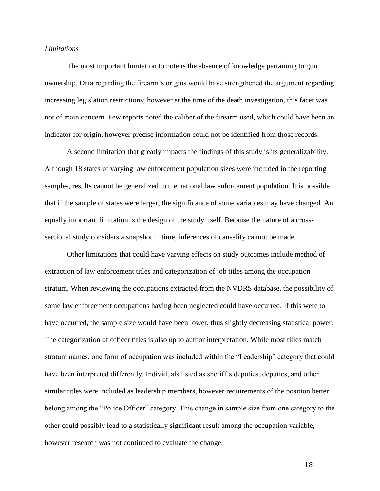#### *Limitations*

The most important limitation to note is the absence of knowledge pertaining to gun ownership. Data regarding the firearm's origins would have strengthened the argument regarding increasing legislation restrictions; however at the time of the death investigation, this facet was not of main concern. Few reports noted the caliber of the firearm used, which could have been an indicator for origin, however precise information could not be identified from those records.

A second limitation that greatly impacts the findings of this study is its generalizability. Although 18 states of varying law enforcement population sizes were included in the reporting samples, results cannot be generalized to the national law enforcement population. It is possible that if the sample of states were larger, the significance of some variables may have changed. An equally important limitation is the design of the study itself. Because the nature of a crosssectional study considers a snapshot in time, inferences of causality cannot be made.

Other limitations that could have varying effects on study outcomes include method of extraction of law enforcement titles and categorization of job titles among the occupation stratum. When reviewing the occupations extracted from the NVDRS database, the possibility of some law enforcement occupations having been neglected could have occurred. If this were to have occurred, the sample size would have been lower, thus slightly decreasing statistical power. The categorization of officer titles is also up to author interpretation. While most titles match stratum names, one form of occupation was included within the "Leadership" category that could have been interpreted differently. Individuals listed as sheriff's deputies, deputies, and other similar titles were included as leadership members, however requirements of the position better belong among the "Police Officer" category. This change in sample size from one category to the other could possibly lead to a statistically significant result among the occupation variable, however research was not continued to evaluate the change.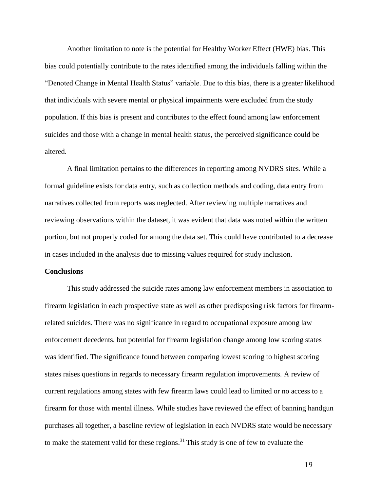Another limitation to note is the potential for Healthy Worker Effect (HWE) bias. This bias could potentially contribute to the rates identified among the individuals falling within the "Denoted Change in Mental Health Status" variable. Due to this bias, there is a greater likelihood that individuals with severe mental or physical impairments were excluded from the study population. If this bias is present and contributes to the effect found among law enforcement suicides and those with a change in mental health status, the perceived significance could be altered.

A final limitation pertains to the differences in reporting among NVDRS sites. While a formal guideline exists for data entry, such as collection methods and coding, data entry from narratives collected from reports was neglected. After reviewing multiple narratives and reviewing observations within the dataset, it was evident that data was noted within the written portion, but not properly coded for among the data set. This could have contributed to a decrease in cases included in the analysis due to missing values required for study inclusion.

#### **Conclusions**

This study addressed the suicide rates among law enforcement members in association to firearm legislation in each prospective state as well as other predisposing risk factors for firearmrelated suicides. There was no significance in regard to occupational exposure among law enforcement decedents, but potential for firearm legislation change among low scoring states was identified. The significance found between comparing lowest scoring to highest scoring states raises questions in regards to necessary firearm regulation improvements. A review of current regulations among states with few firearm laws could lead to limited or no access to a firearm for those with mental illness. While studies have reviewed the effect of banning handgun purchases all together, a baseline review of legislation in each NVDRS state would be necessary to make the statement valid for these regions. <sup>31</sup> This study is one of few to evaluate the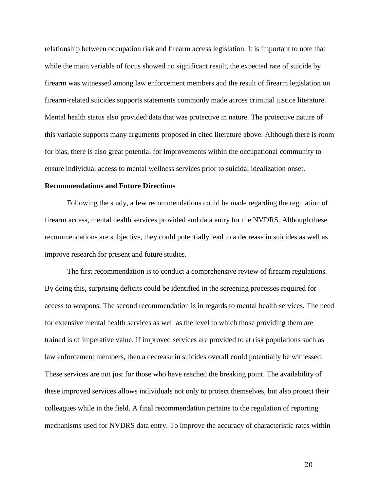relationship between occupation risk and firearm access legislation. It is important to note that while the main variable of focus showed no significant result, the expected rate of suicide by firearm was witnessed among law enforcement members and the result of firearm legislation on firearm-related suicides supports statements commonly made across criminal justice literature. Mental health status also provided data that was protective in nature. The protective nature of this variable supports many arguments proposed in cited literature above. Although there is room for bias, there is also great potential for improvements within the occupational community to ensure individual access to mental wellness services prior to suicidal idealization onset.

#### **Recommendations and Future Directions**

Following the study, a few recommendations could be made regarding the regulation of firearm access, mental health services provided and data entry for the NVDRS. Although these recommendations are subjective, they could potentially lead to a decrease in suicides as well as improve research for present and future studies.

The first recommendation is to conduct a comprehensive review of firearm regulations. By doing this, surprising deficits could be identified in the screening processes required for access to weapons. The second recommendation is in regards to mental health services. The need for extensive mental health services as well as the level to which those providing them are trained is of imperative value. If improved services are provided to at risk populations such as law enforcement members, then a decrease in suicides overall could potentially be witnessed. These services are not just for those who have reached the breaking point. The availability of these improved services allows individuals not only to protect themselves, but also protect their colleagues while in the field. A final recommendation pertains to the regulation of reporting mechanisms used for NVDRS data entry. To improve the accuracy of characteristic rates within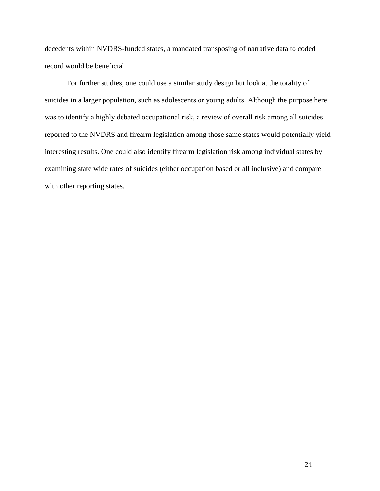decedents within NVDRS-funded states, a mandated transposing of narrative data to coded record would be beneficial.

For further studies, one could use a similar study design but look at the totality of suicides in a larger population, such as adolescents or young adults. Although the purpose here was to identify a highly debated occupational risk, a review of overall risk among all suicides reported to the NVDRS and firearm legislation among those same states would potentially yield interesting results. One could also identify firearm legislation risk among individual states by examining state wide rates of suicides (either occupation based or all inclusive) and compare with other reporting states.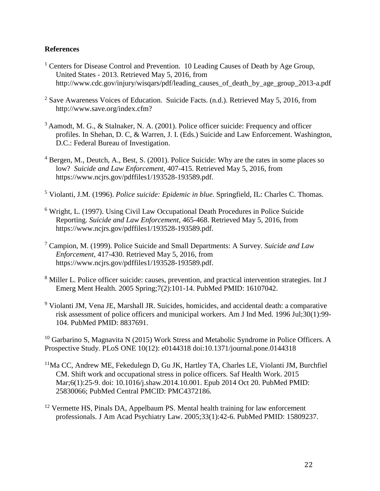### **References**

- <sup>1</sup> Centers for Disease Control and Prevention. 10 Leading Causes of Death by Age Group, United States - 2013. Retrieved May 5, 2016, from http://www.cdc.gov/injury/wisqars/pdf/leading\_causes\_of\_death\_by\_age\_group\_2013-a.pdf
- $2$  Save Awareness Voices of Education. Suicide Facts. (n.d.). Retrieved May 5, 2016, from http://www.save.org/index.cfm?
- <sup>3</sup> Aamodt, M. G., & Stalnaker, N. A. (2001). Police officer suicide: Frequency and officer profiles. In Shehan, D. C, & Warren, J. I. (Eds.) Suicide and Law Enforcement. Washington, D.C.: Federal Bureau of Investigation.
- <sup>4</sup> Bergen, M., Deutch, A., Best, S. (2001). Police Suicide: Why are the rates in some places so low? *Suicide and Law Enforcement,* 407-415. Retrieved May 5, 2016, from https://www.ncjrs.gov/pdffiles1/193528-193589.pdf.
- <sup>5</sup> Violanti, J.M. (1996). *Police suicide: Epidemic in blue*. Springfield, IL: Charles C. Thomas.
- <sup>6</sup> Wright, L. (1997). Using Civil Law Occupational Death Procedures in Police Suicide Reporting. *Suicide and Law Enforcement,* 465-468. Retrieved May 5, 2016, from https://www.ncjrs.gov/pdffiles1/193528-193589.pdf.
- <sup>7</sup> Campion, M. (1999). Police Suicide and Small Departments: A Survey. *Suicide and Law Enforcement,* 417-430. Retrieved May 5, 2016, from https://www.ncjrs.gov/pdffiles1/193528-193589.pdf.
- <sup>8</sup> Miller L. Police officer suicide: causes, prevention, and practical intervention strategies. Int J Emerg Ment Health. 2005 Spring;7(2):101-14. PubMed PMID: 16107042.
- $9$  Violanti JM, Vena JE, Marshall JR. Suicides, homicides, and accidental death: a comparative risk assessment of police officers and municipal workers. Am J Ind Med. 1996 Jul;30(1):99- 104. PubMed PMID: 8837691.

 $10$  Garbarino S, Magnavita N (2015) Work Stress and Metabolic Syndrome in Police Officers. A Prospective Study. PLoS ONE 10(12): e0144318 doi:10.1371/journal.pone.0144318

- <sup>11</sup>Ma CC, Andrew ME, Fekedulegn D, Gu JK, Hartley TA, Charles LE, Violanti JM, Burchfiel CM. Shift work and occupational stress in police officers. Saf Health Work. 2015 Mar;6(1):25-9. doi: 10.1016/j.shaw.2014.10.001. Epub 2014 Oct 20. PubMed PMID: 25830066; PubMed Central PMCID: PMC4372186.
- <sup>12</sup> Vermette HS, Pinals DA, Appelbaum PS. Mental health training for law enforcement professionals. J Am Acad Psychiatry Law. 2005;33(1):42-6. PubMed PMID: 15809237.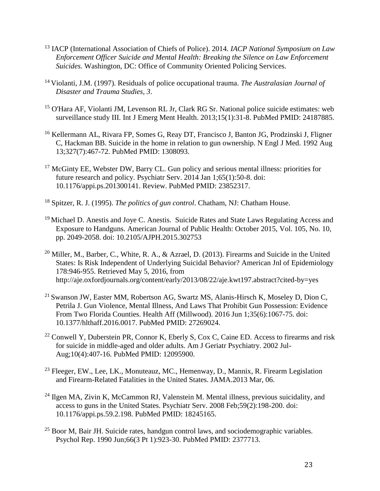- <sup>13</sup> IACP (International Association of Chiefs of Police). 2014. *IACP National Symposium on Law Enforcement Officer Suicide and Mental Health: Breaking the Silence on Law Enforcement Suicides.* Washington, DC: Office of Community Oriented Policing Services.
- <sup>14</sup>Violanti, J.M. (1997). Residuals of police occupational trauma. *The Australasian Journal of Disaster and Trauma Studies, 3*.
- <sup>15</sup> O'Hara AF, Violanti JM, Levenson RL Jr, Clark RG Sr. National police suicide estimates: web [surveillance study III.](http://www.ncbi.nlm.nih.gov/pubmed/24187885) Int J Emerg Ment Health. 2013;15(1):31-8. PubMed PMID: 24187885.
- <sup>16</sup> Kellermann AL, Rivara FP, Somes G, Reay DT, Francisco J, Banton JG, Prodzinski J, Fligner C, Hackman BB. [Suicide in the home in relation to gun ownership.](http://www.ncbi.nlm.nih.gov/pubmed/1308093) N Engl J Med. 1992 Aug 13;327(7):467-72. PubMed PMID: 1308093.
- <sup>17</sup> McGinty EE, Webster DW, Barry CL. Gun policy and serious mental illness: priorities for [future research and policy.](http://www.ncbi.nlm.nih.gov/pubmed/23852317) Psychiatr Serv. 2014 Jan 1;65(1):50-8. doi: 10.1176/appi.ps.201300141. Review. PubMed PMID: 23852317.
- <sup>18</sup> Spitzer, R. J. (1995). *The politics of gun control*. Chatham, NJ: Chatham House.
- <sup>19</sup> Michael D. Anestis and Joye C. Anestis. Suicide Rates and State Laws Regulating Access and Exposure to Handguns. American Journal of Public Health: October 2015, Vol. 105, No. 10, pp. 2049-2058. doi: 10.2105/AJPH.2015.302753
- <sup>20</sup> Miller, M., Barber, C., White, R. A., & Azrael, D. (2013). Firearms and Suicide in the United States: Is Risk Independent of Underlying Suicidal Behavior? American Jnl of Epidemiology 178:946-955. Retrieved May 5, 2016, from http://aje.oxfordjournals.org/content/early/2013/08/22/aje.kwt197.abstract?cited-by=yes
- <sup>21</sup> Swanson JW, Easter MM, Robertson AG, Swartz MS, Alanis-Hirsch K, Moseley D, Dion C, Petrila J. [Gun Violence, Mental Illness, And Laws That Prohibit Gun Possession: Evidence](http://www.ncbi.nlm.nih.gov/pubmed/27269024)  [From Two Florida Counties.](http://www.ncbi.nlm.nih.gov/pubmed/27269024) Health Aff (Millwood). 2016 Jun 1;35(6):1067-75. doi: 10.1377/hlthaff.2016.0017. PubMed PMID: 27269024.
- $22$  Conwell Y, Duberstein PR, Connor K, Eberly S, Cox C, Caine ED. Access to firearms and risk [for suicide in middle-aged and older adults.](http://www.ncbi.nlm.nih.gov/pubmed/12095900) Am J Geriatr Psychiatry. 2002 Jul-Aug;10(4):407-16. PubMed PMID: 12095900.
- <sup>23</sup> Fleeger, EW., Lee, LK., Monuteauz, MC., Hemenway, D., Mannix, R. Firearm Legislation and Firearm-Related Fatalities in the United States. JAMA.2013 Mar, 06.
- <sup>24</sup> Ilgen MA, Zivin K, McCammon RJ, Valenstein M. Mental illness, previous suicidality, and [access to guns in the United States.](http://www.ncbi.nlm.nih.gov/pubmed/18245165) Psychiatr Serv. 2008 Feb;59(2):198-200. doi: 10.1176/appi.ps.59.2.198. PubMed PMID: 18245165.
- $25$  Boor M, Bair JH. [Suicide rates, handgun control laws, and sociodemographic variables.](http://www.ncbi.nlm.nih.gov/pubmed/2377713) Psychol Rep. 1990 Jun;66(3 Pt 1):923-30. PubMed PMID: 2377713.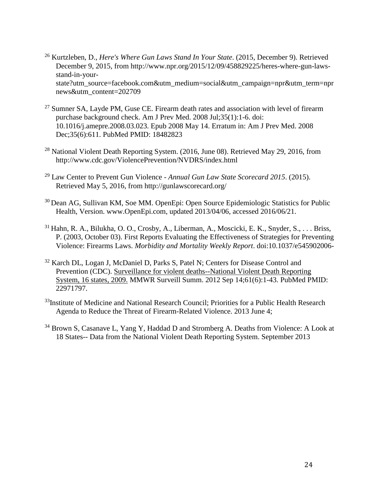- <sup>26</sup> Kurtzleben, D., *Here's Where Gun Laws Stand In Your State*. (2015, December 9). Retrieved December 9, 2015, from http://www.npr.org/2015/12/09/458829225/heres-where-gun-lawsstand-in-yourstate?utm\_source=facebook.com&utm\_medium=social&utm\_campaign=npr&utm\_term=npr news&utm\_content=202709
- <sup>27</sup> Sumner SA, Layde PM, Guse CE. Firearm death rates and association with level of firearm [purchase background check.](http://www.ncbi.nlm.nih.gov/pubmed/18482823) Am J Prev Med. 2008 Jul;35(1):1-6. doi: 10.1016/j.amepre.2008.03.023. Epub 2008 May 14. Erratum in: Am J Prev Med. 2008 Dec;35(6):611. PubMed PMID: 18482823
- <sup>28</sup> National Violent Death Reporting System. (2016, June 08). Retrieved May 29, 2016, from http://www.cdc.gov/ViolencePrevention/NVDRS/index.html
- <sup>29</sup> Law Center to Prevent Gun Violence *Annual Gun Law State Scorecard 2015*. (2015). Retrieved May 5, 2016, from http://gunlawscorecard.org/
- <sup>30</sup> Dean AG, Sullivan KM, Soe MM. OpenEpi: Open Source Epidemiologic Statistics for Public Health, Version. www.OpenEpi.com, updated 2013/04/06, accessed 2016/06/21.
- <sup>31</sup> Hahn, R. A., Bilukha, O. O., Crosby, A., Liberman, A., Moscicki, E. K., Snyder, S., . . . Briss, P. (2003, October 03). First Reports Evaluating the Effectiveness of Strategies for Preventing Violence: Firearms Laws. *Morbidity and Mortality Weekly Report*. doi:10.1037/e545902006-
- <sup>32</sup> Karch DL, Logan J, McDaniel D, Parks S, Patel N; Centers for Disease Control and Prevention (CDC). [Surveillance for violent deaths--National Violent Death Reporting](http://www.ncbi.nlm.nih.gov/pubmed/22971797)  [System, 16 states, 2009.](http://www.ncbi.nlm.nih.gov/pubmed/22971797) MMWR Surveill Summ. 2012 Sep 14;61(6):1-43. PubMed PMID: 22971797.
- <sup>33</sup>Institute of Medicine and National Research Council; Priorities for a Public Health Research Agenda to Reduce the Threat of Firearm-Related Violence. 2013 June 4;
- <sup>34</sup> Brown S, Casanave L, Yang Y, Haddad D and Stromberg A. Deaths from Violence: A Look at 18 States-- Data from the National Violent Death Reporting System. September 2013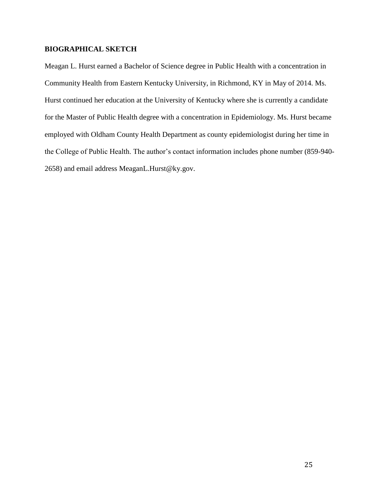## **BIOGRAPHICAL SKETCH**

Meagan L. Hurst earned a Bachelor of Science degree in Public Health with a concentration in Community Health from Eastern Kentucky University, in Richmond, KY in May of 2014. Ms. Hurst continued her education at the University of Kentucky where she is currently a candidate for the Master of Public Health degree with a concentration in Epidemiology. Ms. Hurst became employed with Oldham County Health Department as county epidemiologist during her time in the College of Public Health. The author's contact information includes phone number (859-940- 2658) and email address MeaganL.Hurst@ky.gov.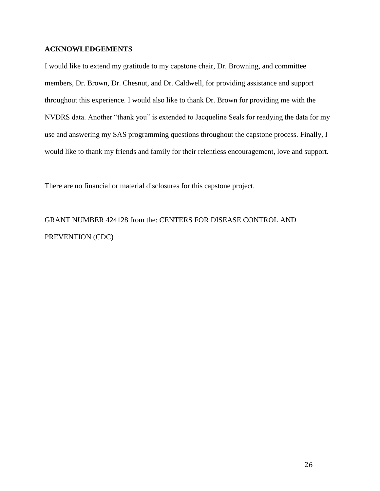#### **ACKNOWLEDGEMENTS**

I would like to extend my gratitude to my capstone chair, Dr. Browning, and committee members, Dr. Brown, Dr. Chesnut, and Dr. Caldwell, for providing assistance and support throughout this experience. I would also like to thank Dr. Brown for providing me with the NVDRS data. Another "thank you" is extended to Jacqueline Seals for readying the data for my use and answering my SAS programming questions throughout the capstone process. Finally, I would like to thank my friends and family for their relentless encouragement, love and support.

There are no financial or material disclosures for this capstone project.

GRANT NUMBER 424128 from the: CENTERS FOR DISEASE CONTROL AND PREVENTION (CDC)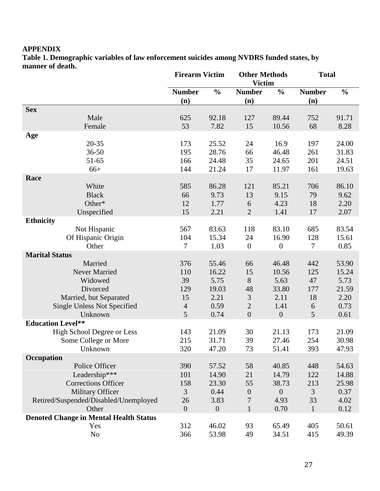## **APPENDIX**

**Table 1. Demographic variables of law enforcement suicides among NVDRS funded states, by manner of death.**

|                                               | <b>Firearm Victim</b> |                  | <b>Other Methods</b><br><b>Victim</b> |                  | <b>Total</b>  |               |
|-----------------------------------------------|-----------------------|------------------|---------------------------------------|------------------|---------------|---------------|
|                                               | <b>Number</b>         | $\frac{0}{0}$    | <b>Number</b>                         | $\frac{0}{0}$    | <b>Number</b> | $\frac{0}{0}$ |
|                                               | (n)                   |                  | (n)                                   |                  | (n)           |               |
| <b>Sex</b>                                    |                       |                  |                                       |                  |               |               |
| Male                                          | 625                   | 92.18            | 127                                   | 89.44            | 752           | 91.71         |
| Female                                        | 53                    | 7.82             | 15                                    | 10.56            | 68            | 8.28          |
| Age                                           |                       |                  |                                       |                  |               |               |
| $20 - 35$                                     | 173                   | 25.52            | 24                                    | 16.9             | 197           | 24.00         |
| $36 - 50$                                     | 195                   | 28.76            | 66                                    | 46.48            | 261           | 31.83         |
| 51-65                                         | 166                   | 24.48            | 35                                    | 24.65            | 201           | 24.51         |
| $66+$                                         | 144                   | 21.24            | 17                                    | 11.97            | 161           | 19.63         |
| Race                                          |                       |                  |                                       |                  |               |               |
| White                                         | 585                   | 86.28            | 121                                   | 85.21            | 706           | 86.10         |
| <b>Black</b>                                  | 66                    | 9.73             | 13                                    | 9.15             | 79            | 9.62          |
| Other*                                        | 12                    | 1.77             | 6                                     | 4.23             | 18            | 2.20          |
| Unspecified                                   | 15                    | 2.21             | $\overline{2}$                        | 1.41             | 17            | 2.07          |
| <b>Ethnicity</b>                              |                       |                  |                                       |                  |               |               |
| Not Hispanic                                  | 567                   | 83.63            | 118                                   | 83.10            | 685           | 83.54         |
| Of Hispanic Origin<br>Other                   | 104                   | 15.34            | 24                                    | 16.90            | 128<br>$\tau$ | 15.61         |
| <b>Marital Status</b>                         | 7                     | 1.03             | $\boldsymbol{0}$                      | $\boldsymbol{0}$ |               | 0.85          |
| Married                                       | 376                   | 55.46            | 66                                    | 46.48            | 442           | 53.90         |
| Never Married                                 | 110                   | 16.22            | 15                                    | 10.56            | 125           | 15.24         |
| Widowed                                       | 39                    | 5.75             | 8                                     | 5.63             | 47            | 5.73          |
| Divorced                                      | 129                   | 19.03            | 48                                    | 33.80            | 177           | 21.59         |
| Married, but Separated                        | 15                    | 2.21             | $\mathfrak{Z}$                        | 2.11             | 18            | 2.20          |
| <b>Single Unless Not Specified</b>            | $\overline{4}$        | 0.59             | $\mathbf{2}$                          | 1.41             | 6             | 0.73          |
| Unknown                                       | 5                     | 0.74             | $\boldsymbol{0}$                      | $\boldsymbol{0}$ | 5             | 0.61          |
| <b>Education Level**</b>                      |                       |                  |                                       |                  |               |               |
| <b>High School Degree or Less</b>             | 143                   | 21.09            | 30                                    | 21.13            | 173           | 21.09         |
| Some College or More                          | 215                   | 31.71            | 39                                    | 27.46            | 254           | 30.98         |
| Unknown                                       | 320                   | 47.20            | 73                                    | 51.41            | 393           | 47.93         |
| Occupation                                    |                       |                  |                                       |                  |               |               |
| Police Officer                                | 390                   | 57.52            | 58                                    | 40.85            | 448           | 54.63         |
| Leadership***                                 | 101                   | 14.90            | 21                                    | 14.79            | 122           | 14.88         |
| <b>Corrections Officer</b>                    | 158                   | 23.30            | 55                                    | 38.73            | 213           | 25.98         |
| <b>Military Officer</b>                       | 3                     | 0.44             | $\boldsymbol{0}$                      | $\theta$         | 3             | 0.37          |
| Retired/Suspended/Disabled/Unemployed         | 26                    | 3.83             | 7                                     | 4.93             | 33            | 4.02          |
| Other                                         | $\boldsymbol{0}$      | $\boldsymbol{0}$ | $\mathbf{1}$                          | 0.70             | $\mathbf{1}$  | 0.12          |
| <b>Denoted Change in Mental Health Status</b> |                       |                  |                                       |                  |               |               |
| Yes                                           | 312                   | 46.02            | 93                                    | 65.49            | 405           | 50.61         |
| N <sub>o</sub>                                | 366                   | 53.98            | 49                                    | 34.51            | 415           | 49.39         |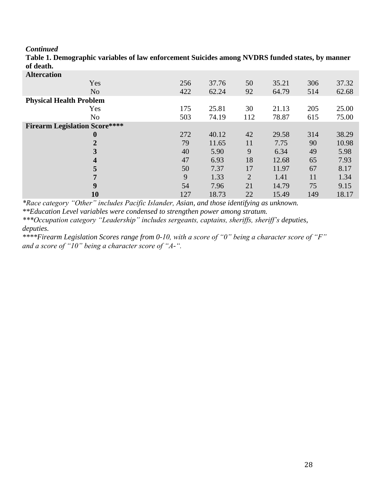*Continued*

| ul utatii.                           |     |       |                |       |     |       |
|--------------------------------------|-----|-------|----------------|-------|-----|-------|
| <b>Altercation</b>                   |     |       |                |       |     |       |
| Yes                                  | 256 | 37.76 | 50             | 35.21 | 306 | 37.32 |
| N <sub>0</sub>                       | 422 | 62.24 | 92             | 64.79 | 514 | 62.68 |
| <b>Physical Health Problem</b>       |     |       |                |       |     |       |
| Yes                                  | 175 | 25.81 | 30             | 21.13 | 205 | 25.00 |
| N <sub>o</sub>                       | 503 | 74.19 | 112            | 78.87 | 615 | 75.00 |
| <b>Firearm Legislation Score****</b> |     |       |                |       |     |       |
| $\bf{0}$                             | 272 | 40.12 | 42             | 29.58 | 314 | 38.29 |
| $\overline{2}$                       | 79  | 11.65 | 11             | 7.75  | 90  | 10.98 |
| $\overline{\mathbf{3}}$              | 40  | 5.90  | 9              | 6.34  | 49  | 5.98  |
| $\overline{\mathbf{4}}$              | 47  | 6.93  | 18             | 12.68 | 65  | 7.93  |
| 5                                    | 50  | 7.37  | 17             | 11.97 | 67  | 8.17  |
| 7                                    | 9   | 1.33  | $\overline{2}$ | 1.41  | 11  | 1.34  |
| 9                                    | 54  | 7.96  | 21             | 14.79 | 75  | 9.15  |
| <b>10</b>                            | 127 | 18.73 | 22             | 15.49 | 149 | 18.17 |
|                                      |     |       |                |       |     |       |

**Table 1. Demographic variables of law enforcement Suicides among NVDRS funded states, by manner of death.**

*\*Race category "Other" includes Pacific Islander, Asian, and those identifying as unknown.*

*\*\*Education Level variables were condensed to strengthen power among stratum.*

*\*\*\*Occupation category "Leadership" includes sergeants, captains, sheriffs, sheriff's deputies, deputies.* 

*\*\*\*\*Firearm Legislation Scores range from 0-10, with a score of "0" being a character score of "F" and a score of "10" being a character score of "A-".*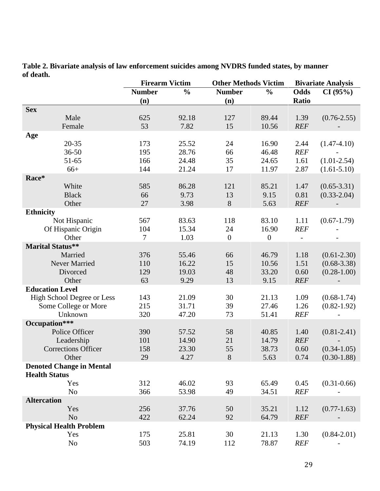|                                 | <b>Firearm Victim</b><br><b>Other Methods Victim</b> |               |                        |                       | <b>Bivariate Analysis</b> |                 |
|---------------------------------|------------------------------------------------------|---------------|------------------------|-----------------------|---------------------------|-----------------|
|                                 | <b>Number</b>                                        | $\frac{0}{0}$ | <b>Number</b>          | $\frac{0}{0}$         | Odds                      | CI(95%)         |
|                                 | (n)                                                  |               | (n)                    |                       | <b>Ratio</b>              |                 |
| <b>Sex</b>                      |                                                      |               |                        |                       |                           |                 |
| Male                            | 625                                                  | 92.18         | 127                    | 89.44                 | 1.39                      | $(0.76 - 2.55)$ |
| Female                          | 53                                                   | 7.82          | 15                     | 10.56                 | <b>REF</b>                |                 |
| Age                             |                                                      |               |                        |                       |                           |                 |
| $20 - 35$                       | 173                                                  | 25.52         | 24                     | 16.90                 | 2.44                      | $(1.47 - 4.10)$ |
| $36 - 50$                       | 195                                                  | 28.76         | 66                     | 46.48                 | <b>REF</b>                |                 |
| 51-65                           | 166                                                  | 24.48         | 35                     | 24.65                 | 1.61                      | $(1.01 - 2.54)$ |
| $66+$                           | 144                                                  | 21.24         | 17                     | 11.97                 | 2.87                      | $(1.61 - 5.10)$ |
| Race*                           |                                                      |               |                        |                       |                           |                 |
| White                           | 585                                                  | 86.28         | 121                    | 85.21                 | 1.47                      | $(0.65 - 3.31)$ |
| <b>Black</b>                    | 66                                                   | 9.73          | 13                     | 9.15                  | 0.81                      | $(0.33 - 2.04)$ |
| Other                           | 27                                                   | 3.98          | 8                      | 5.63                  | REF                       |                 |
| <b>Ethnicity</b>                |                                                      | 83.63         |                        |                       |                           |                 |
| Not Hispanic                    | 567                                                  |               | 118                    | 83.10                 | 1.11                      | $(0.67 - 1.79)$ |
| Of Hispanic Origin<br>Other     | 104<br>$\overline{7}$                                | 15.34<br>1.03 | 24<br>$\boldsymbol{0}$ | 16.90<br>$\mathbf{0}$ | <b>REF</b>                |                 |
| <b>Marital Status**</b>         |                                                      |               |                        |                       | $\overline{\phantom{a}}$  |                 |
| Married                         | 376                                                  | 55.46         | 66                     | 46.79                 | 1.18                      | $(0.61 - 2.30)$ |
| Never Married                   | 110                                                  | 16.22         | 15                     | 10.56                 | 1.51                      | $(0.68 - 3.38)$ |
| Divorced                        | 129                                                  | 19.03         | 48                     | 33.20                 | 0.60                      | $(0.28 - 1.00)$ |
| Other                           | 63                                                   | 9.29          | 13                     | 9.15                  | <b>REF</b>                |                 |
| <b>Education Level</b>          |                                                      |               |                        |                       |                           |                 |
| High School Degree or Less      | 143                                                  | 21.09         | 30                     | 21.13                 | 1.09                      | $(0.68 - 1.74)$ |
| Some College or More            | 215                                                  | 31.71         | 39                     | 27.46                 | 1.26                      | $(0.82 - 1.92)$ |
| Unknown                         | 320                                                  | 47.20         | 73                     | 51.41                 | <b>REF</b>                |                 |
| Occupation***                   |                                                      |               |                        |                       |                           |                 |
| Police Officer                  | 390                                                  | 57.52         | 58                     | 40.85                 | 1.40                      | $(0.81 - 2.41)$ |
| Leadership                      | 101                                                  | 14.90         | 21                     | 14.79                 | <b>REF</b>                |                 |
| <b>Corrections Officer</b>      | 158                                                  | 23.30         | 55                     | 38.73                 | 0.60                      | $(0.34 - 1.05)$ |
| Other                           | 29                                                   | 4.27          | $8\,$                  | 5.63                  | 0.74                      | $(0.30-1.88)$   |
| <b>Denoted Change in Mental</b> |                                                      |               |                        |                       |                           |                 |
| <b>Health Status</b>            |                                                      |               |                        |                       |                           |                 |
| Yes                             | 312                                                  | 46.02         | 93                     | 65.49                 | 0.45                      | $(0.31 - 0.66)$ |
| N <sub>0</sub>                  | 366                                                  | 53.98         | 49                     | 34.51                 | <b>REF</b>                |                 |
| <b>Altercation</b>              |                                                      |               |                        |                       |                           |                 |
| Yes                             | 256                                                  | 37.76         | 50                     | 35.21                 | 1.12                      | $(0.77 - 1.63)$ |
| N <sub>o</sub>                  | 422                                                  | 62.24         | 92                     | 64.79                 | <b>REF</b>                |                 |
| <b>Physical Health Problem</b>  |                                                      |               |                        |                       |                           |                 |
| Yes                             | 175                                                  | 25.81         | 30                     | 21.13                 | 1.30                      | $(0.84 - 2.01)$ |
| N <sub>0</sub>                  | 503                                                  | 74.19         | 112                    | 78.87                 | <b>REF</b>                |                 |

**Table 2. Bivariate analysis of law enforcement suicides among NVDRS funded states, by manner of death.**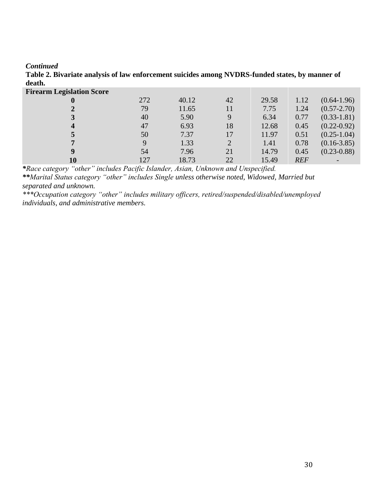#### *Continued*

| <b>Firearm Legislation Score</b> |             |       |                |       |            |                 |
|----------------------------------|-------------|-------|----------------|-------|------------|-----------------|
|                                  | 272         | 40.12 | 42             | 29.58 | 1.12       | $(0.64-1.96)$   |
|                                  | 79          | 11.65 | 11             | 7.75  | 1.24       | $(0.57 - 2.70)$ |
|                                  | 40          | 5.90  | 9              | 6.34  | 0.77       | $(0.33 - 1.81)$ |
| $\boldsymbol{4}$                 | 47          | 6.93  | 18             | 12.68 | 0.45       | $(0.22 - 0.92)$ |
|                                  | 50          | 7.37  | 17             | 11.97 | 0.51       | $(0.25 - 1.04)$ |
|                                  | $\mathbf Q$ | 1.33  | $\overline{2}$ | 1.41  | 0.78       | $(0.16 - 3.85)$ |
|                                  | 54          | 7.96  | 21             | 14.79 | 0.45       | $(0.23 - 0.88)$ |
| 10                               | 127         | 18.73 | 22             | 15.49 | <b>REF</b> |                 |
|                                  |             |       |                |       |            |                 |

**Table 2. Bivariate analysis of law enforcement suicides among NVDRS-funded states, by manner of death.**

*\*Race category "other" includes Pacific Islander, Asian, Unknown and Unspecified.*

*\*\*Marital Status category "other" includes Single unless otherwise noted, Widowed, Married but separated and unknown.*

*\*\*\*Occupation category "other" includes military officers, retired/suspended/disabled/unemployed individuals, and administrative members.*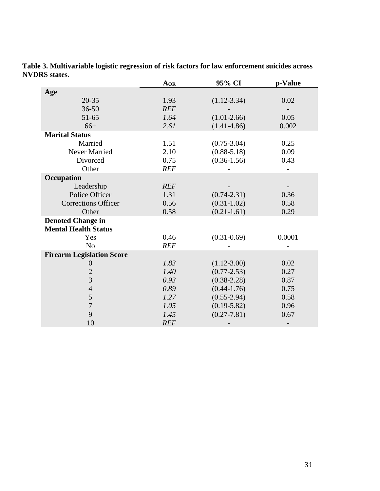|                                  | AOR        | 95% CI          | p-Value |
|----------------------------------|------------|-----------------|---------|
| Age                              |            |                 |         |
| $20 - 35$                        | 1.93       | $(1.12 - 3.34)$ | 0.02    |
| $36 - 50$                        | <b>REF</b> |                 |         |
| $51 - 65$                        | 1.64       | $(1.01-2.66)$   | 0.05    |
| $66+$                            | 2.61       | $(1.41 - 4.86)$ | 0.002   |
| <b>Marital Status</b>            |            |                 |         |
| Married                          | 1.51       | $(0.75 - 3.04)$ | 0.25    |
| <b>Never Married</b>             | 2.10       | $(0.88 - 5.18)$ | 0.09    |
| Divorced                         | 0.75       | $(0.36 - 1.56)$ | 0.43    |
| Other                            | <b>REF</b> |                 |         |
| Occupation                       |            |                 |         |
| Leadership                       | <b>REF</b> |                 |         |
| Police Officer                   | 1.31       | $(0.74 - 2.31)$ | 0.36    |
| <b>Corrections Officer</b>       | 0.56       | $(0.31 - 1.02)$ | 0.58    |
| Other                            | 0.58       | $(0.21 - 1.61)$ | 0.29    |
| <b>Denoted Change in</b>         |            |                 |         |
| <b>Mental Health Status</b>      |            |                 |         |
| Yes                              | 0.46       | $(0.31 - 0.69)$ | 0.0001  |
| N <sub>o</sub>                   | <b>REF</b> |                 |         |
| <b>Firearm Legislation Score</b> |            |                 |         |
| $\boldsymbol{0}$                 | 1.83       | $(1.12 - 3.00)$ | 0.02    |
| $\overline{2}$                   | 1.40       | $(0.77 - 2.53)$ | 0.27    |
| $\overline{3}$                   | 0.93       | $(0.38 - 2.28)$ | 0.87    |
| $\overline{4}$                   | 0.89       | $(0.44 - 1.76)$ | 0.75    |
| 5                                | 1.27       | $(0.55 - 2.94)$ | 0.58    |
| $\overline{7}$                   | 1.05       | $(0.19 - 5.82)$ | 0.96    |
| 9                                | 1.45       | $(0.27 - 7.81)$ | 0.67    |
| 10                               | <b>REF</b> |                 |         |

**Table 3. Multivariable logistic regression of risk factors for law enforcement suicides across NVDRS states.**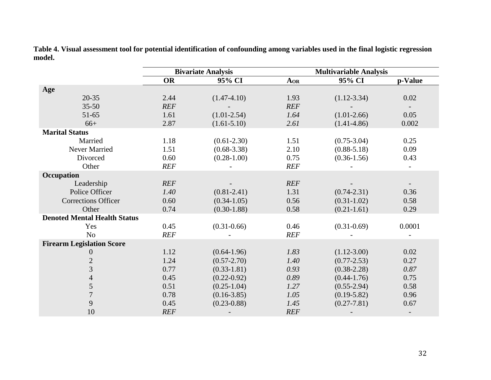|                                     | <b>Bivariate Analysis</b> |                 |            | <b>Multivariable Analysis</b> |         |
|-------------------------------------|---------------------------|-----------------|------------|-------------------------------|---------|
|                                     | <b>OR</b>                 | 95% CI          | AOR        | 95% CI                        | p-Value |
| Age                                 |                           |                 |            |                               |         |
| $20 - 35$                           | 2.44                      | $(1.47 - 4.10)$ | 1.93       | $(1.12 - 3.34)$               | 0.02    |
| $35 - 50$                           | <b>REF</b>                |                 | <b>REF</b> |                               |         |
| $51 - 65$                           | 1.61                      | $(1.01 - 2.54)$ | 1.64       | $(1.01-2.66)$                 | 0.05    |
| $66+$                               | 2.87                      | $(1.61 - 5.10)$ | 2.61       | $(1.41 - 4.86)$               | 0.002   |
| <b>Marital Status</b>               |                           |                 |            |                               |         |
| Married                             | 1.18                      | $(0.61 - 2.30)$ | 1.51       | $(0.75 - 3.04)$               | 0.25    |
| Never Married                       | 1.51                      | $(0.68 - 3.38)$ | 2.10       | $(0.88 - 5.18)$               | 0.09    |
| Divorced                            | 0.60                      | $(0.28 - 1.00)$ | 0.75       | $(0.36 - 1.56)$               | 0.43    |
| Other                               | <b>REF</b>                |                 | <b>REF</b> |                               |         |
| Occupation                          |                           |                 |            |                               |         |
| Leadership                          | <b>REF</b>                |                 | <b>REF</b> |                               |         |
| Police Officer                      | 1.40                      | $(0.81 - 2.41)$ | 1.31       | $(0.74 - 2.31)$               | 0.36    |
| <b>Corrections Officer</b>          | 0.60                      | $(0.34 - 1.05)$ | 0.56       | $(0.31 - 1.02)$               | 0.58    |
| Other                               | 0.74                      | $(0.30 - 1.88)$ | 0.58       | $(0.21 - 1.61)$               | 0.29    |
| <b>Denoted Mental Health Status</b> |                           |                 |            |                               |         |
| Yes                                 | 0.45                      | $(0.31 - 0.66)$ | 0.46       | $(0.31 - 0.69)$               | 0.0001  |
| N <sub>o</sub>                      | <b>REF</b>                |                 | <b>REF</b> |                               |         |
| <b>Firearm Legislation Score</b>    |                           |                 |            |                               |         |
| $\overline{0}$                      | 1.12                      | $(0.64 - 1.96)$ | 1.83       | $(1.12 - 3.00)$               | 0.02    |
| $\overline{2}$                      | 1.24                      | $(0.57 - 2.70)$ | 1.40       | $(0.77 - 2.53)$               | 0.27    |
| $\overline{3}$                      | 0.77                      | $(0.33 - 1.81)$ | 0.93       | $(0.38 - 2.28)$               | 0.87    |
| $\overline{4}$                      | 0.45                      | $(0.22 - 0.92)$ | 0.89       | $(0.44 - 1.76)$               | 0.75    |
| 5                                   | 0.51                      | $(0.25 - 1.04)$ | 1.27       | $(0.55 - 2.94)$               | 0.58    |
| $\overline{7}$                      | 0.78                      | $(0.16 - 3.85)$ | 1.05       | $(0.19 - 5.82)$               | 0.96    |
| 9                                   | 0.45                      | $(0.23 - 0.88)$ | 1.45       | $(0.27 - 7.81)$               | 0.67    |
| 10                                  | <b>REF</b>                |                 | <b>REF</b> |                               |         |

**Table 4. Visual assessment tool for potential identification of confounding among variables used in the final logistic regression model.**